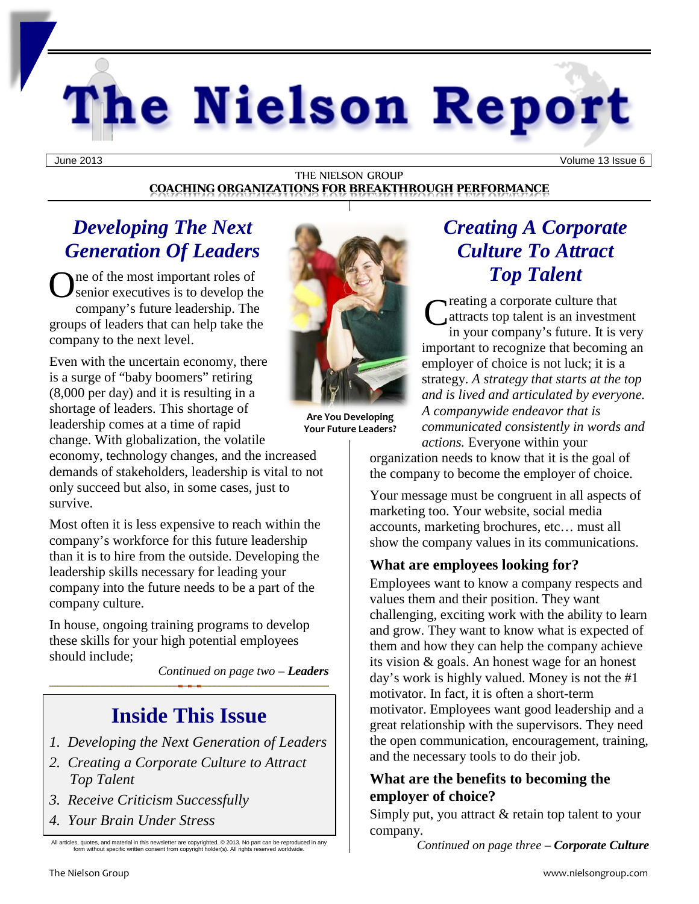# The Nielson Report

#### THE NIELSON GROUP **COACHING ORGANIZATIONS FOR BREAKTHROUGH PERFORMANCE**

## *Developing The Next Generation Of Leaders*

**O** senior executives is to develop the senior executives is to develop the senior executives senior executives is to develop the company's future leadership. The groups of leaders that can help take the company to the next level.

Even with the uncertain economy, there is a surge of "baby boomers" retiring (8,000 per day) and it is resulting in a shortage of leaders. This shortage of leadership comes at a time of rapid change. With globalization, the volatile

economy, technology changes, and the increased demands of stakeholders, leadership is vital to not only succeed but also, in some cases, just to survive.

Most often it is less expensive to reach within the company's workforce for this future leadership than it is to hire from the outside. Developing the leadership skills necessary for leading your company into the future needs to be a part of the company culture.

In house, ongoing training programs to develop these skills for your high potential employees should include;

*Continued on page two – Leaders*

# **Inside This Issue**

- *1. Developing the Next Generation of Leaders*
- *2. Creating a Corporate Culture to Attract Top Talent*
- *3. Receive Criticism Successfully*
- *4. Your Brain Under Stress*

All articles, quotes, and material in this newsletter are copyrighted. © 2013. No part can be reproduced in any form without specific written consent from copyright holder(s). All rights reserved worldwide.



**Are You Developing Your Future Leaders?**

# *Creating A Corporate Culture To Attract Top Talent*

reating a corporate culture that attracts top talent is an investment in your company's future. It is very important to recognize that becoming an employer of choice is not luck; it is a strategy. *A strategy that starts at the top and is lived and articulated by everyone. A companywide endeavor that is communicated consistently in words and actions.* Everyone within your C

organization needs to know that it is the goal of the company to become the employer of choice.

Your message must be congruent in all aspects of marketing too. Your website, social media accounts, marketing brochures, etc… must all show the company values in its communications.

## **What are employees looking for?**

Employees want to know a company respects and values them and their position. They want challenging, exciting work with the ability to learn and grow. They want to know what is expected of them and how they can help the company achieve its vision & goals. An honest wage for an honest day's work is highly valued. Money is not the #1 motivator. In fact, it is often a short-term motivator. Employees want good leadership and a great relationship with the supervisors. They need the open communication, encouragement, training, and the necessary tools to do their job.

### **What are the benefits to becoming the employer of choice?**

Simply put, you attract & retain top talent to your company.

*Continued on page three – Corporate Culture*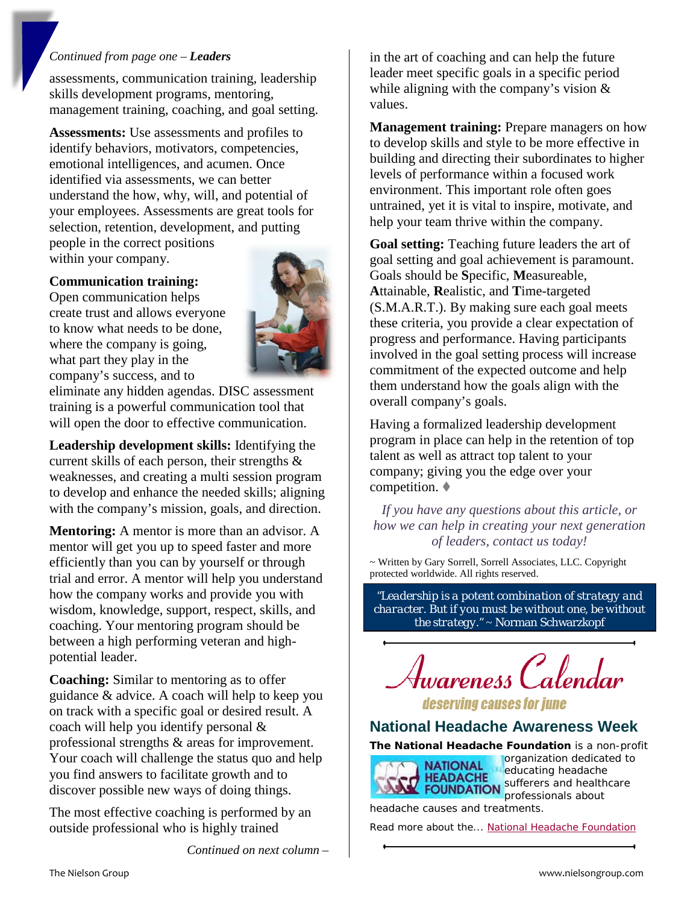#### *Continued from page one – Leaders*

assessments, communication training, leadership skills development programs, mentoring, management training, coaching, and goal setting.

**Assessments:** Use assessments and profiles to identify behaviors, motivators, competencies, emotional intelligences, and acumen. Once identified via assessments, we can better understand the how, why, will, and potential of your employees. Assessments are great tools for selection, retention, development, and putting people in the correct positions

within your company.

#### **Communication training:**

Open communication helps create trust and allows everyone to know what needs to be done, where the company is going, what part they play in the company's success, and to



eliminate any hidden agendas. DISC assessment training is a powerful communication tool that will open the door to effective communication.

**Leadership development skills:** Identifying the current skills of each person, their strengths & weaknesses, and creating a multi session program to develop and enhance the needed skills; aligning with the company's mission, goals, and direction.

**Mentoring:** A mentor is more than an advisor. A mentor will get you up to speed faster and more efficiently than you can by yourself or through trial and error. A mentor will help you understand how the company works and provide you with wisdom, knowledge, support, respect, skills, and coaching. Your mentoring program should be between a high performing veteran and highpotential leader.

**Coaching:** Similar to mentoring as to offer guidance & advice. A coach will help to keep you on track with a specific goal or desired result. A coach will help you identify personal & professional strengths & areas for improvement. Your coach will challenge the status quo and help you find answers to facilitate growth and to discover possible new ways of doing things.

The most effective coaching is performed by an outside professional who is highly trained

*Continued on next column –*

in the art of coaching and can help the future leader meet specific goals in a specific period while aligning with the company's vision & values.

**Management training:** Prepare managers on how to develop skills and style to be more effective in building and directing their subordinates to higher levels of performance within a focused work environment. This important role often goes untrained, yet it is vital to inspire, motivate, and help your team thrive within the company.

**Goal setting:** Teaching future leaders the art of goal setting and goal achievement is paramount. Goals should be **S**pecific, **M**easureable, **A**ttainable, **R**ealistic, and **T**ime-targeted (S.M.A.R.T.). By making sure each goal meets these criteria, you provide a clear expectation of progress and performance. Having participants involved in the goal setting process will increase commitment of the expected outcome and help them understand how the goals align with the overall company's goals.

Having a formalized leadership development program in place can help in the retention of top talent as well as attract top talent to your company; giving you the edge over your competition.

*If you have any questions about this article, or how we can help in creating your next generation of leaders, contact us today!*

~ Written by Gary Sorrell, Sorrell Associates, LLC. Copyright protected worldwide. All rights reserved.

*"Leadership is a potent combination of strategy and character. But if you must be without one, be without the strategy."* ~ Norman Schwarzkopf



deserving causes for june

## **National Headache Awareness Week**

**The National Headache Foundation** is a non-profit



organization dedicated to educating headache **EXPALATE Sufferers and healthcare** professionals about headache causes and treatments.

Read more about the... [National Headache Foundation](http://www.headaches.org/)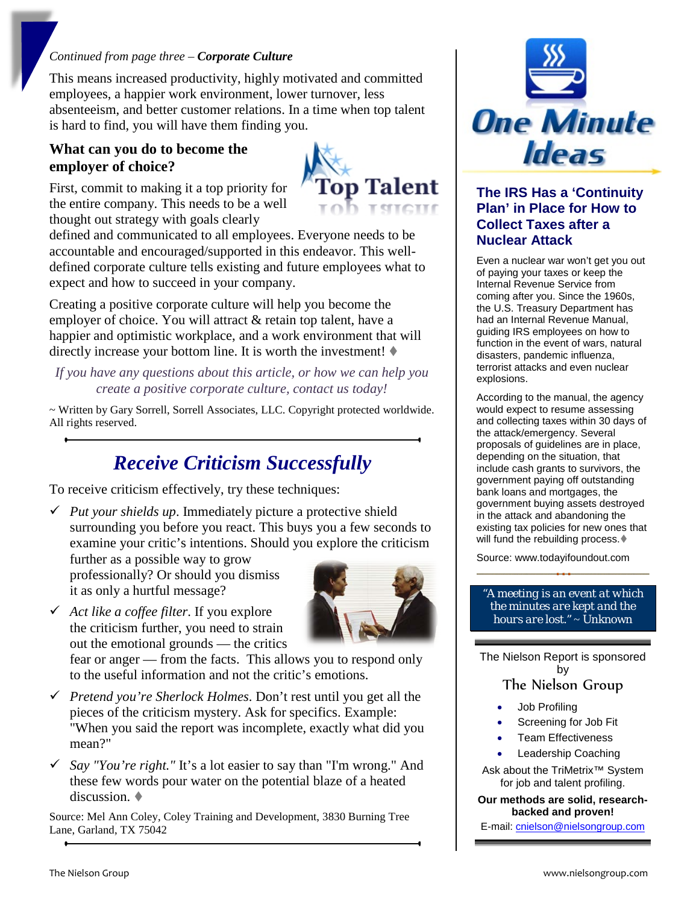#### *Continued from page three – Corporate Culture*

This means increased productivity, highly motivated and committed employees, a happier work environment, lower turnover, less absenteeism, and better customer relations. In a time when top talent is hard to find, you will have them finding you.

#### **What can you do to become the employer of choice?**

First, commit to making it a top priority for the entire company. This needs to be a well thought out strategy with goals clearly



defined and communicated to all employees. Everyone needs to be accountable and encouraged/supported in this endeavor. This welldefined corporate culture tells existing and future employees what to expect and how to succeed in your company.

Creating a positive corporate culture will help you become the employer of choice. You will attract & retain top talent, have a happier and optimistic workplace, and a work environment that will directly increase your bottom line. It is worth the investment!  $\blacklozenge$ 

*If you have any questions about this article, or how we can help you create a positive corporate culture, contact us today!*

~ Written by Gary Sorrell, Sorrell Associates, LLC. Copyright protected worldwide. All rights reserved.

# *Receive Criticism Successfully*

To receive criticism effectively, try these techniques:

 $\checkmark$  *Put your shields up.* Immediately picture a protective shield surrounding you before you react. This buys you a few seconds to examine your critic's intentions. Should you explore the criticism

further as a possible way to grow professionally? Or should you dismiss it as only a hurtful message?



 *Act like a coffee filter*. If you explore the criticism further, you need to strain out the emotional grounds — the critics

fear or anger — from the facts. This allows you to respond only to the useful information and not the critic's emotions.

- *Pretend you're Sherlock Holmes*. Don't rest until you get all the pieces of the criticism mystery. Ask for specifics. Example: "When you said the report was incomplete, exactly what did you mean?"
- *Say "You're right."* It's a lot easier to say than "I'm wrong." And these few words pour water on the potential blaze of a heated discussion.

Source: Mel Ann Coley, Coley Training and Development, 3830 Burning Tree Lane, Garland, TX 75042



#### **The IRS Has a 'Continuity Plan' in Place for How to Collect Taxes after a Nuclear Attack**

Even a nuclear war won't get you out of paying your taxes or keep the Internal Revenue Service from coming after you. Since the 1960s, the U.S. Treasury Department has had an Internal Revenue Manual, guiding IRS employees on how to function in the event of wars, natural disasters, pandemic influenza, terrorist attacks and even nuclear explosions.

According to the manual, the agency would expect to resume assessing and collecting taxes within 30 days of the attack/emergency. Several proposals of guidelines are in place, depending on the situation, that include cash grants to survivors, the government paying off outstanding bank loans and mortgages, the government buying assets destroyed in the attack and abandoning the existing tax policies for new ones that will fund the rebuilding process.

Source: www.todayifoundout.com

#### *"A meeting is an event at which the minutes are kept and the hours are lost."* ~ Unknown

The Nielson Report is sponsored by The Nielson Group

## • Job Profiling

- Screening for Job Fit
- Team Effectiveness
- Leadership Coaching

Ask about the TriMetrix™ System for job and talent profiling.

#### **Our methods are solid, researchbacked and proven!**

E-mail: [cnielson@nielsongroup.com](mailto:cnielson@nielsongroup.com)